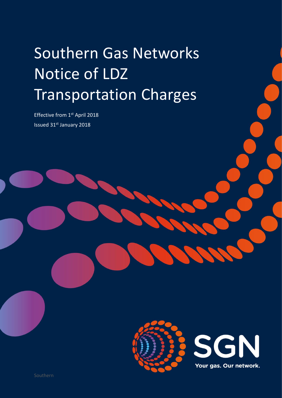# Southern Gas Networks Notice of LDZ Transportation Charges

Effective from 1st April 2018 Issued 31st January 2018

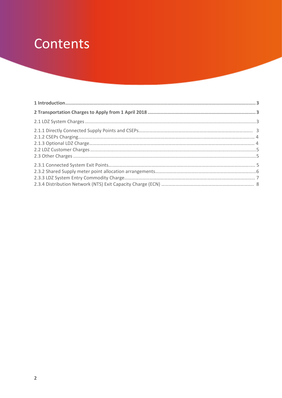## Contents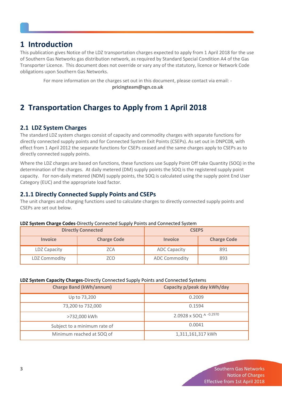## **1 Introduction**

This publication gives Notice of the LDZ transportation charges expected to apply from 1 April 2018 for the use of Southern Gas Networks gas distribution network, as required by Standard Special Condition A4 of the Gas Transporter Licence. This document does not override or vary any of the statutory, licence or Network Code obligations upon Southern Gas Networks.

For more information on the charges set out in this document, please contact via email: **pricingteam@sgn.co.uk**

## <span id="page-2-0"></span>**2 Transportation Charges to Apply from 1 April 2018**

#### **2.1 LDZ System Charges**

The standard LDZ system charges consist of capacity and commodity charges with separate functions for directly connected supply points and for Connected System Exit Points (CSEPs). As set out in DNPC08, with effect from 1 April 2012 the separate functions for CSEPs ceased and the same charges apply to CSEPs as to directly connected supply points.

Where the LDZ charges are based on functions, these functions use Supply Point Off take Quantity (SOQ) in the determination of the charges. At daily metered (DM) supply points the SOQ is the registered supply point capacity. For non-daily metered (NDM) supply points, the SOQ is calculated using the supply point End User Category (EUC) and the appropriate load factor.

#### <span id="page-2-1"></span>**2.1.1 Directly Connected Supply Points and CSEPs**

The unit charges and charging functions used to calculate charges to directly connected supply points and CSEPs are set out below.

| LDZ System Charge Codes-Directly Connected Supply Points and Connected System |
|-------------------------------------------------------------------------------|
|-------------------------------------------------------------------------------|

| <b>Directly Connected</b> |                    | <b>CSEPS</b>         |                    |
|---------------------------|--------------------|----------------------|--------------------|
| <b>Invoice</b>            | <b>Charge Code</b> | <b>Invoice</b>       | <b>Charge Code</b> |
| LDZ Capacity              | ZCA                | <b>ADC Capacity</b>  | 891                |
| <b>LDZ Commodity</b>      | ZCO                | <b>ADC Commodity</b> | 893                |

#### **LDZ System Capacity Charges-**Directly Connected Supply Points and Connected Systems

| <b>Charge Band (kWh/annum)</b> | Capacity p/peak day kWh/day |
|--------------------------------|-----------------------------|
| Up to 73,200                   | 0.2009                      |
| 73,200 to 732,000              | 0.1594                      |
| >732,000 kWh                   | 2.0928 x SOQ ^ -0.2970      |
| Subject to a minimum rate of   | 0.0041                      |
| Minimum reached at SOQ of      | 1,311,161,317 kWh           |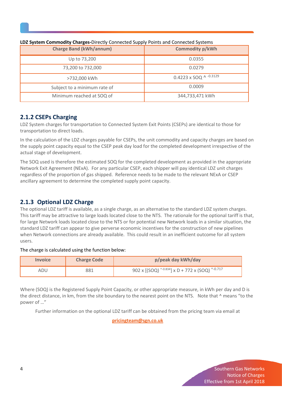| <b>Charge Band (kWh/annum)</b> | <b>Commodity p/kWh</b>   |
|--------------------------------|--------------------------|
| Up to 73,200                   | 0.0355                   |
| 73,200 to 732,000              | 0.0279                   |
| >732,000 kWh                   | 0.4223 x SOQ ^ $-0.3129$ |
| Subject to a minimum rate of   | 0.0009                   |
| Minimum reached at SOQ of      | 344,733,471 kWh          |

#### **LDZ System Commodity Charges-**Directly Connected Supply Points and Connected Systems

#### **2.1.2 CSEPs Charging**

LDZ System charges for transportation to Connected System Exit Points (CSEPs) are identical to those for transportation to direct loads.

In the calculation of the LDZ charges payable for CSEPs, the unit commodity and capacity charges are based on the supply point capacity equal to the CSEP peak day load for the completed development irrespective of the actual stage of development.

The SOQ used is therefore the estimated SOQ for the completed development as provided in the appropriate Network Exit Agreement (NExA). For any particular CSEP, each shipper will pay identical LDZ unit charges regardless of the proportion of gas shipped. Reference needs to be made to the relevant NExA or CSEP ancillary agreement to determine the completed supply point capacity.

#### **2.1.3 Optional LDZ Charge**

The optional LDZ tariff is available, as a single charge, as an alternative to the standard LDZ system charges. This tariff may be attractive to large loads located close to the NTS. The rationale for the optional tariff is that, for large Network loads located close to the NTS or for potential new Network loads in a similar situation, the standard LDZ tariff can appear to give perverse economic incentives for the construction of new pipelines when Network connections are already available. This could result in an inefficient outcome for all system users.

#### The charge is calculated using the function below:

| <i><u><b>Invoice</b></u></i> | <b>Charge Code</b> | p/peak day kWh/day                                                     |
|------------------------------|--------------------|------------------------------------------------------------------------|
| ADU                          | 881                | 902 x [(SOQ) $^{\wedge -0.834}$ ] x D + 772 x (SOQ) $^{\wedge -0.717}$ |

Where (SOQ) is the Registered Supply Point Capacity, or other appropriate measure, in kWh per day and D is the direct distance, in km, from the site boundary to the nearest point on the NTS. Note that ^ means "to the power of …"

Further information on the optional LDZ tariff can be obtained from the pricing team via email at

**[pricingteam@sgn.co.uk](mailto:pricingteam@sgn.co.uk)**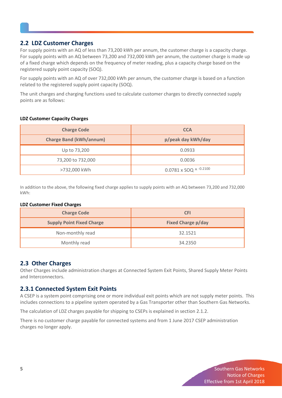#### **2.2 LDZ Customer Charges**

<span id="page-4-0"></span>For supply points with an AQ of less than 73,200 kWh per annum, the customer charge is a capacity charge. For supply points with an AQ between 73,200 and 732,000 kWh per annum, the customer charge is made up of a fixed charge which depends on the frequency of meter reading, plus a capacity charge based on the registered supply point capacity (SOQ).

For supply points with an AQ of over 732,000 kWh per annum, the customer charge is based on a function related to the registered supply point capacity (SOQ).

The unit charges and charging functions used to calculate customer charges to directly connected supply points are as follows:

#### **LDZ Customer Capacity Charges**

| <b>Charge Code</b>             | <b>CCA</b>                      |
|--------------------------------|---------------------------------|
| <b>Charge Band (kWh/annum)</b> | p/peak day kWh/day              |
| Up to 73,200                   | 0.0933                          |
| 73,200 to 732,000              | 0.0036                          |
| >732,000 kWh                   | $0.0781 \times SOQ$ ^ $-0.2100$ |

In addition to the above, the following fixed charge applies to supply points with an AQ between 73,200 and 732,000 kWh:

#### **LDZ Customer Fixed Charges**

| <b>Charge Code</b>               | <b>CFI</b>                |
|----------------------------------|---------------------------|
| <b>Supply Point Fixed Charge</b> | <b>Fixed Charge p/day</b> |
| Non-monthly read                 | 32.1521                   |
| Monthly read                     | 34.2350                   |

#### **2.3 Other Charges**

Other Charges include administration charges at Connected System Exit Points, Shared Supply Meter Points and Interconnectors.

#### **2.3.1 Connected System Exit Points**

A CSEP is a system point comprising one or more individual exit points which are not supply meter points. This includes connections to a pipeline system operated by a Gas Transporter other than Southern Gas Networks.

The calculation of LDZ charges payable for shipping to CSEPs is explained in section 2.1.2.

There is no customer charge payable for connected systems and from 1 June 2017 CSEP administration charges no longer apply.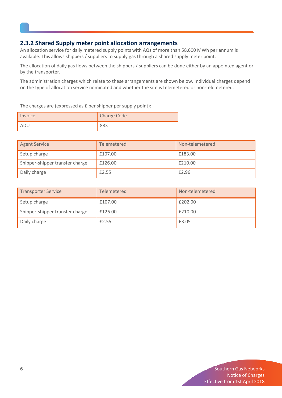#### **2.3.2 Shared Supply meter point allocation arrangements**

An allocation service for daily metered supply points with AQs of more than 58,600 MWh per annum is available. This allows shippers / suppliers to supply gas through a shared supply meter point.

The allocation of daily gas flows between the shippers / suppliers can be done either by an appointed agent or by the transporter.

The administration charges which relate to these arrangements are shown below. Individual charges depend on the type of allocation service nominated and whether the site is telemetered or non-telemetered.

The charges are (expressed as £ per shipper per supply point):

| Invoice | <b>Charge Code</b> |
|---------|--------------------|
|         |                    |

| <b>Agent Service</b>            | Telemetered | Non-telemetered |
|---------------------------------|-------------|-----------------|
| Setup charge                    | £107.00     | £183.00         |
| Shipper-shipper transfer charge | £126.00     | £210.00         |
| Daily charge                    | £2.55       | £2.96           |

| <b>Transporter Service</b>      | Telemetered | Non-telemetered |
|---------------------------------|-------------|-----------------|
| Setup charge                    | £107.00     | £202.00         |
| Shipper-shipper transfer charge | £126.00     | £210.00         |
| Daily charge                    | £2.55       | £3.05           |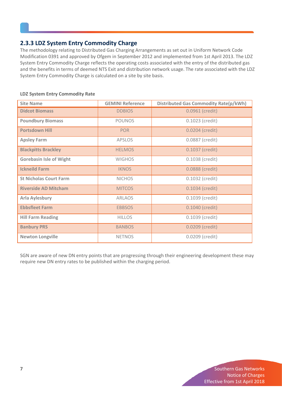#### **2.3.3 LDZ System Entry Commodity Charge**

The methodology relating to Distributed Gas Charging Arrangements as set out in Uniform Network Code Modification 0391 and approved by Ofgem in September 2012 and implemented from 1st April 2013. The LDZ System Entry Commodity Charge reflects the operating costs associated with the entry of the distributed gas and the benefits in terms of deemed NTS Exit and distribution network usage. The rate associated with the LDZ System Entry Commodity Charge is calculated on a site by site basis.

| <b>Site Name</b>               | <b>GEMINI Reference</b> | <b>Distributed Gas Commodity Rate(p/kWh)</b> |
|--------------------------------|-------------------------|----------------------------------------------|
| <b>Didcot Biomass</b>          | <b>DDBIOS</b>           | 0.0961 (credit)                              |
| <b>Poundbury Biomass</b>       | <b>POUNOS</b>           | $0.1023$ (credit)                            |
| <b>Portsdown Hill</b>          | <b>POR</b>              | 0.0204 (credit)                              |
| <b>Apsley Farm</b>             | <b>APSLOS</b>           | 0.0887 (credit)                              |
| <b>Blackpitts Brackley</b>     | <b>HELMOS</b>           | 0.1037 (credit)                              |
| <b>Gorebasin Isle of Wight</b> | <b>WIGHOS</b>           | 0.1038 (credit)                              |
| <b>Ickneild Farm</b>           | <b>IKNOS</b>            | 0.0888 (credit)                              |
| <b>St Nicholas Court Farm</b>  | <b>NICHOS</b>           | 0.1032 (credit)                              |
| <b>Riverside AD Mitcham</b>    | <b>MITCOS</b>           | 0.1034 (credit)                              |
| <b>Arla Aylesbury</b>          | <b>ARLAOS</b>           | 0.1039 (credit)                              |
| <b>Ebbsfleet Farm</b>          | <b>EBBSOS</b>           | 0.1040 (credit)                              |
| <b>Hill Farm Reading</b>       | <b>HILLOS</b>           | 0.1039 (credit)                              |
| <b>Banbury PRS</b>             | <b>BANBOS</b>           | 0.0209 (credit)                              |
| <b>Newton Longville</b>        | <b>NETNOS</b>           | 0.0209 (credit)                              |

#### **LDZ System Entry Commodity Rate**

SGN are aware of new DN entry points that are progressing through their engineering development these may require new DN entry rates to be published within the charging period.